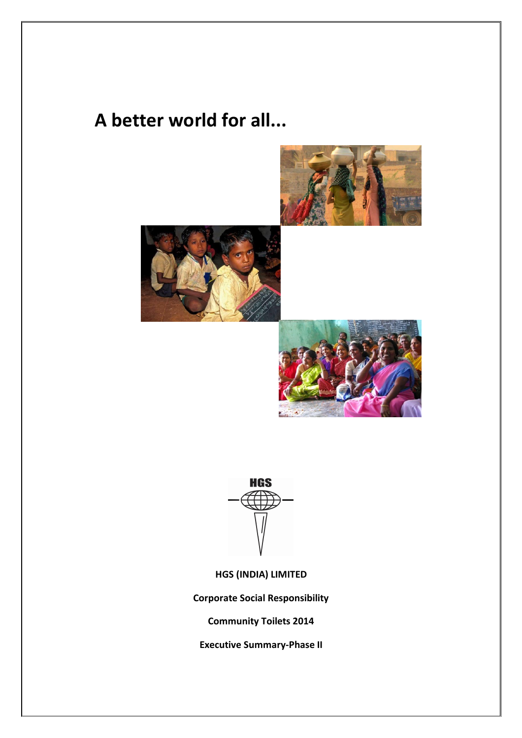## **A better world for all...**









**HGS (INDIA) LIMITED**

**Corporate Social Responsibility**

**Community Toilets 2014**

**Executive Summary-Phase II**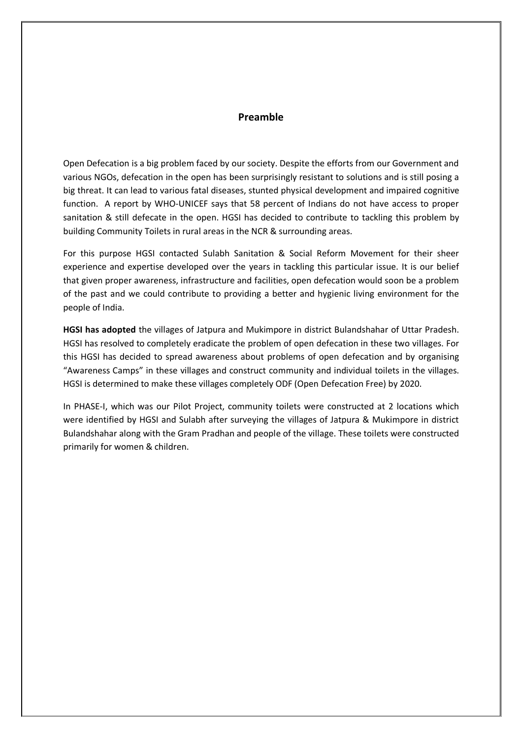## **Preamble**

Open Defecation is a big problem faced by our society. Despite the efforts from our Government and various NGOs, defecation in the open has been surprisingly resistant to solutions and is still posing a big threat. It can lead to various fatal diseases, stunted physical development and impaired cognitive function. A report by WHO-UNICEF says that 58 percent of Indians do not have access to proper sanitation & still defecate in the open. HGSI has decided to contribute to tackling this problem by building Community Toilets in rural areas in the NCR & surrounding areas.

For this purpose HGSI contacted Sulabh Sanitation & Social Reform Movement for their sheer experience and expertise developed over the years in tackling this particular issue. It is our belief that given proper awareness, infrastructure and facilities, open defecation would soon be a problem of the past and we could contribute to providing a better and hygienic living environment for the people of India.

**HGSI has adopted** the villages of Jatpura and Mukimpore in district Bulandshahar of Uttar Pradesh. HGSI has resolved to completely eradicate the problem of open defecation in these two villages. For this HGSI has decided to spread awareness about problems of open defecation and by organising "Awareness Camps" in these villages and construct community and individual toilets in the villages. HGSI is determined to make these villages completely ODF (Open Defecation Free) by 2020.

In PHASE-I, which was our Pilot Project, community toilets were constructed at 2 locations which were identified by HGSI and Sulabh after surveying the villages of Jatpura & Mukimpore in district Bulandshahar along with the Gram Pradhan and people of the village. These toilets were constructed primarily for women & children.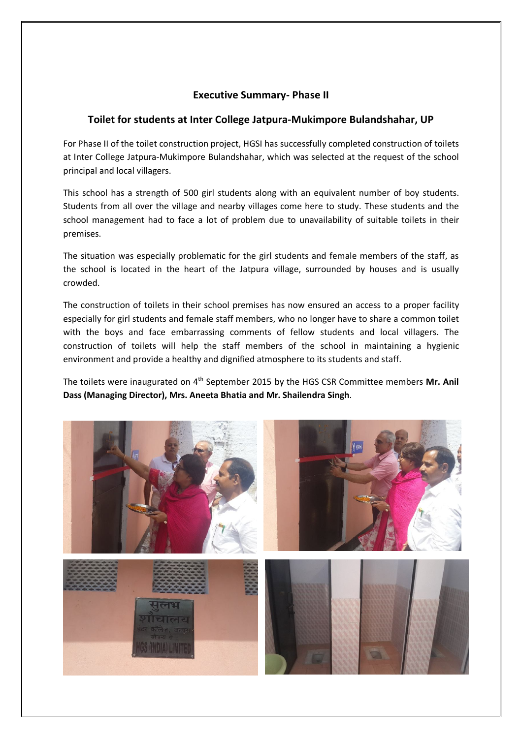## **Executive Summary- Phase II**

## **Toilet for students at Inter College Jatpura-Mukimpore Bulandshahar, UP**

For Phase II of the toilet construction project, HGSI has successfully completed construction of toilets at Inter College Jatpura-Mukimpore Bulandshahar, which was selected at the request of the school principal and local villagers.

This school has a strength of 500 girl students along with an equivalent number of boy students. Students from all over the village and nearby villages come here to study. These students and the school management had to face a lot of problem due to unavailability of suitable toilets in their premises.

The situation was especially problematic for the girl students and female members of the staff, as the school is located in the heart of the Jatpura village, surrounded by houses and is usually crowded.

The construction of toilets in their school premises has now ensured an access to a proper facility especially for girl students and female staff members, who no longer have to share a common toilet with the boys and face embarrassing comments of fellow students and local villagers. The construction of toilets will help the staff members of the school in maintaining a hygienic environment and provide a healthy and dignified atmosphere to its students and staff.

The toilets were inaugurated on 4<sup>th</sup> September 2015 by the HGS CSR Committee members Mr. Anil **Dass (Managing Director), Mrs. Aneeta Bhatia and Mr. Shailendra Singh**.

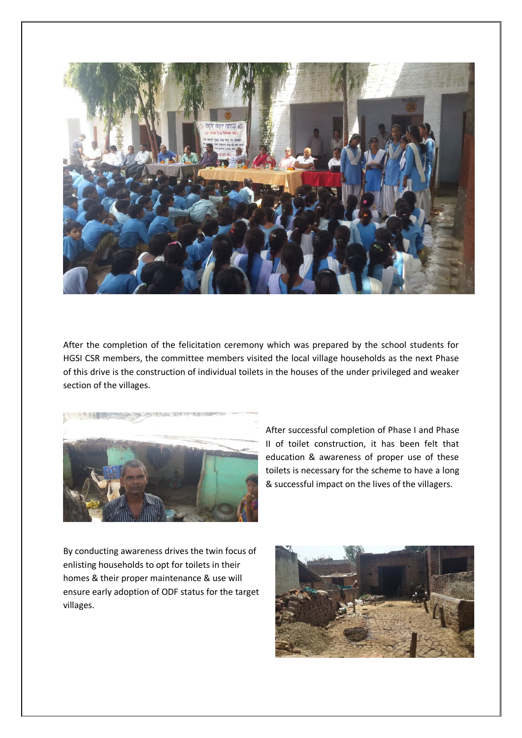

After the completion of the felicitation ceremony which was prepared by the school students for HGSI CSR members, the committee members visited the local village households as the next Phase of this drive is the construction of individual toilets in the houses of the under privileged and weaker section of the villages.



After successful completion of Phase I and Phase II of toilet construction, it has been felt that education & awareness of proper use of these toilets is necessary for the scheme to have a long & successful impact on the lives of the villagers.

By conducting awareness drives the twin focus of enlisting households to opt for toilets in their homes & their proper maintenance & use will ensure early adoption of ODF status for the target villages.